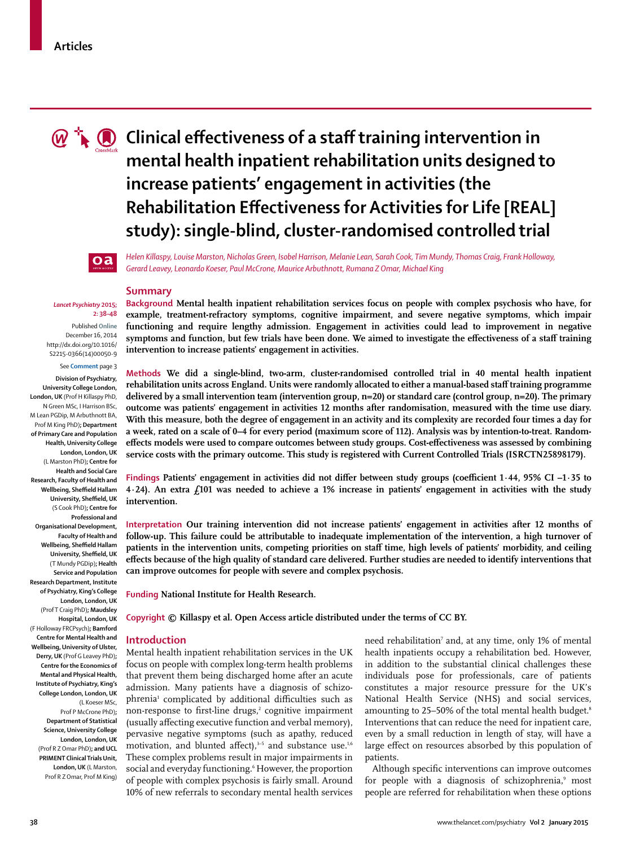

# **C**  $\mathbb{C}$  Clinical effectiveness of a staff training intervention in **mental health inpatient rehabilitation units designed to increase patients' engagement in activities (the Rehabilitation Effectiveness for Activities for Life [REAL] study): single-blind, cluster-randomised controlled trial**



#### *Lancet Psychiatry* **2015; 2: 38–48**

Published **Online** December 16, 2014 http://dx.doi.org/10.1016/ S2215-0366(14)00050-9

See **Comment** page 3

**Division of Psychiatry, University College London, London, UK** (Prof H Killaspy PhD, N Green MSc, I Harrison BSc, M Lean PGDip, M Arbuthnott BA, Prof M King PhD)**; Department of Primary Care and Population Health, University College London, London, UK**  (L Marston PhD)**; Centre for Health and Social Care Research, Faculty of Health and Wellbeing, Sheffield Hallam University, Sheffield, UK** (S Cook PhD)**; Centre for Professional and Organisational Development, Faculty of Health and Wellbeing, Sheffield Hallam University, Sheffield, UK** (T Mundy PGDip)**; Health Service and Population Research Department, Institute of Psychiatry, King's College London, London, UK** (Prof T Craig PhD)**; Maudsley Hospital, London, UK**  (F Holloway FRCPsych)**; Bamford Centre for Mental Health and Wellbeing, University of Ulster, Derry, UK** (Prof G Leavey PhD)**; Centre for the Economics of Mental and Physical Health, Institute of Psychiatry, King's College London, London, UK** (L Koeser MSc, Prof P McCrone PhD)**; Department of Statistical** 

**Science, University College London, London, UK** (Prof R Z Omar PhD)**; and UCL PRIMENT Clinical Trials Unit, London, UK** (L Marston, Prof R Z Omar, Prof M King)

*Helen Killaspy, Louise Marston, Nicholas Green, Isobel Harrison, Melanie Lean, Sarah Cook, Tim Mundy, Thomas Craig, Frank Holloway, Gerard Leavey, Leonardo Koeser, Paul McCrone, Maurice Arbuthnott, Rumana Z Omar, Michael King*

#### **Summary**

**Background Mental health inpatient rehabilitation services focus on people with complex psychosis who have, for example, treatment-refractory symptoms, cognitive impairment, and severe negative symptoms, which impair functioning and require lengthy admission. Engagement in activities could lead to improvement in negative**  symptoms and function, but few trials have been done. We aimed to investigate the effectiveness of a staff training **intervention to increase patients' engagement in activities.**

**Methods We did a single-blind, two-arm, cluster-randomised controlled trial in 40 mental health inpatient rehabilitation units across England. Units were randomly allocated to either a manual-based staff training programme delivered by a small intervention team (intervention group, n=20) or standard care (control group, n=20). The primary outcome was patients' engagement in activities 12 months after randomisation, measured with the time use diary. With this measure, both the degree of engagement in an activity and its complexity are recorded four times a day for a week, rated on a scale of 0–4 for every period (maximum score of 112). Analysis was by intention-to-treat. Random**effects models were used to compare outcomes between study groups. Cost-effectiveness was assessed by combining **service costs with the primary outcome. This study is registered with Current Controlled Trials (ISRCTN25898179).**

Findings Patients' engagement in activities did not differ between study groups (coefficient 1·44, 95% CI –1·35 to **4·24). An extra £101 was needed to achieve a 1% increase in patients' engagement in activities with the study intervention.**

**Interpretation Our training intervention did not increase patients' engagement in activities after 12 months of follow-up. This failure could be attributable to inadequate implementation of the intervention, a high turnover of patients in the intervention units, competing priorities on staff time, high levels of patients' morbidity, and ceiling**  effects because of the high quality of standard care delivered. Further studies are needed to identify interventions that **can improve outcomes for people with severe and complex psychosis.**

**Funding National Institute for Health Research.**

**Copyright © Killaspy et al. Open Access article distributed under the terms of CC BY.**

# **Introduction**

Mental health inpatient rehabilitation services in the UK focus on people with complex long-term health problems that prevent them being discharged home after an acute admission. Many patients have a diagnosis of schizophrenia<sup>1</sup> complicated by additional difficulties such as non-response to first-line drugs,<sup>2</sup> cognitive impairment (usually affecting executive function and verbal memory), pervasive negative symptoms (such as apathy, reduced motivation, and blunted affect), $3-5$  and substance use. $1,6$ These complex problems result in major impairments in social and everyday functioning.<sup>6</sup> However, the proportion of people with complex psychosis is fairly small. Around 10% of new referrals to secondary mental health services

need rehabilitation<sup>7</sup> and, at any time, only 1% of mental health inpatients occupy a rehabilitation bed. However, in addition to the substantial clinical challenges these individuals pose for professionals, care of patients constitutes a major resource pressure for the UK's National Health Service (NHS) and social services, amounting to 25–50% of the total mental health budget.<sup>8</sup> Interventions that can reduce the need for inpatient care, even by a small reduction in length of stay, will have a large effect on resources absorbed by this population of patients.

Although specific interventions can improve outcomes for people with a diagnosis of schizophrenia,<sup>9</sup> most people are referred for rehabilitation when these options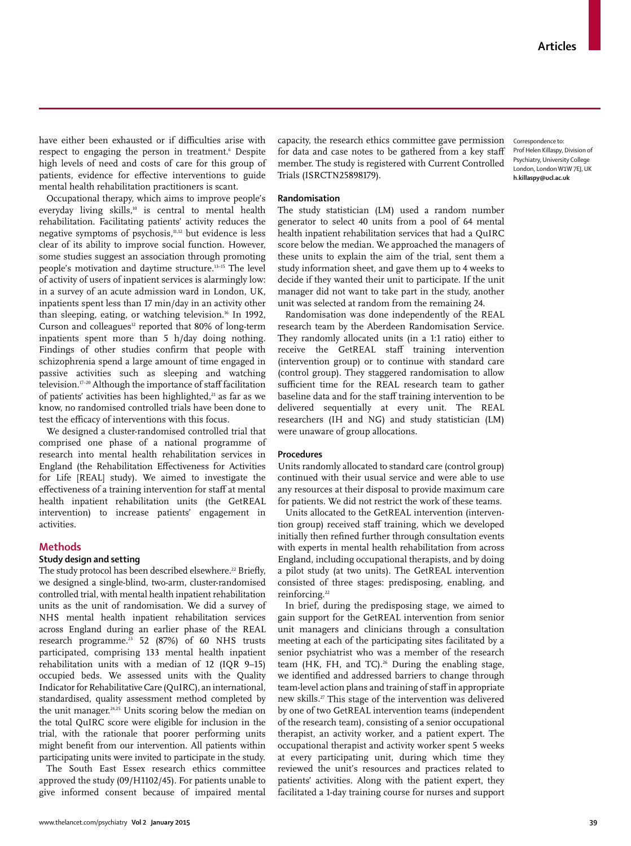Correspondence to: Prof Helen Killaspy, Division of Psychiatry, University College London, London W1W 7EJ, UK **h.killaspy@ucl.ac.uk**

have either been exhausted or if difficulties arise with respect to engaging the person in treatment.6 Despite high levels of need and costs of care for this group of patients, evidence for effective interventions to guide mental health rehabilitation practitioners is scant.

Occupational therapy, which aims to improve people's everyday living skills,<sup>10</sup> is central to mental health rehabilitation. Facilitating patients' activity reduces the negative symptoms of psychosis,<sup>11,12</sup> but evidence is less clear of its ability to improve social function. However, some studies suggest an association through promoting people's motivation and daytime structure.13–15 The level of activity of users of inpatient services is alarmingly low: in a survey of an acute admission ward in London, UK, inpatients spent less than 17 min/day in an activity other than sleeping, eating, or watching television.16 In 1992, Curson and colleagues<sup>12</sup> reported that 80% of long-term inpatients spent more than 5 h/day doing nothing. Findings of other studies confirm that people with schizophrenia spend a large amount of time engaged in passive activities such as sleeping and watching television.<sup>17-20</sup> Although the importance of staff facilitation of patients' activities has been highlighted,<sup>21</sup> as far as we know, no randomised controlled trials have been done to test the efficacy of interventions with this focus.

We designed a cluster-randomised controlled trial that comprised one phase of a national programme of research into mental health rehabilitation services in England (the Rehabilitation Effectiveness for Activities for Life [REAL] study). We aimed to investigate the effectiveness of a training intervention for staff at mental health inpatient rehabilitation units (the GetREAL intervention) to increase patients' engagement in activities.

# **Methods**

# **Study design and setting**

The study protocol has been described elsewhere.<sup>22</sup> Briefly, we designed a single-blind, two-arm, cluster-randomised controlled trial, with mental health inpatient rehabilitation units as the unit of randomisation. We did a survey of NHS mental health inpatient rehabilitation services across England during an earlier phase of the REAL research programme.<sup>23</sup> 52 (87%) of 60 NHS trusts participated, comprising 133 mental health inpatient rehabilitation units with a median of 12 (IQR 9–15) occupied beds. We assessed units with the Quality Indicator for Rehabilitative Care (QuIRC), an international, standardised, quality assessment method completed by the unit manager.<sup>24,25</sup> Units scoring below the median on the total QuIRC score were eligible for inclusion in the trial, with the rationale that poorer performing units might benefit from our intervention. All patients within participating units were invited to participate in the study.

The South East Essex research ethics committee approved the study (09/H1102/45). For patients unable to give informed consent because of impaired mental capacity, the research ethics committee gave permission for data and case notes to be gathered from a key staff member. The study is registered with Current Controlled Trials (ISRCTN25898179).

### **Randomisation**

The study statistician (LM) used a random number generator to select 40 units from a pool of 64 mental health inpatient rehabilitation services that had a QuIRC score below the median. We approached the managers of these units to explain the aim of the trial, sent them a study information sheet, and gave them up to 4 weeks to decide if they wanted their unit to participate. If the unit manager did not want to take part in the study, another unit was selected at random from the remaining 24.

Randomisation was done independently of the REAL research team by the Aberdeen Randomisation Service. They randomly allocated units (in a 1:1 ratio) either to receive the GetREAL staff training intervention (intervention group) or to continue with standard care (control group). They staggered randomisation to allow sufficient time for the REAL research team to gather baseline data and for the staff training intervention to be delivered sequentially at every unit. The REAL researchers (IH and NG) and study statistician (LM) were unaware of group allocations.

# **Procedures**

Units randomly allocated to standard care (control group) continued with their usual service and were able to use any resources at their disposal to provide maximum care for patients. We did not restrict the work of these teams.

Units allocated to the GetREAL intervention (intervention group) received staff training, which we developed initially then refined further through consultation events with experts in mental health rehabilitation from across England, including occupational therapists, and by doing a pilot study (at two units). The GetREAL intervention consisted of three stages: predisposing, enabling, and reinforcing.<sup>22</sup>

In brief, during the predisposing stage, we aimed to gain support for the GetREAL intervention from senior unit managers and clinicians through a consultation meeting at each of the participating sites facilitated by a senior psychiatrist who was a member of the research team ( $HK$ ,  $FH$ , and  $TC$ ).<sup>26</sup> During the enabling stage, we identified and addressed barriers to change through team-level action plans and training of staff in appropriate new skills.27 This stage of the intervention was delivered by one of two GetREAL intervention teams (independent of the research team), consisting of a senior occupational therapist, an activity worker, and a patient expert. The occupational therapist and activity worker spent 5 weeks at every participating unit, during which time they reviewed the unit's resources and practices related to patients' activities. Along with the patient expert, they facilitated a 1-day training course for nurses and support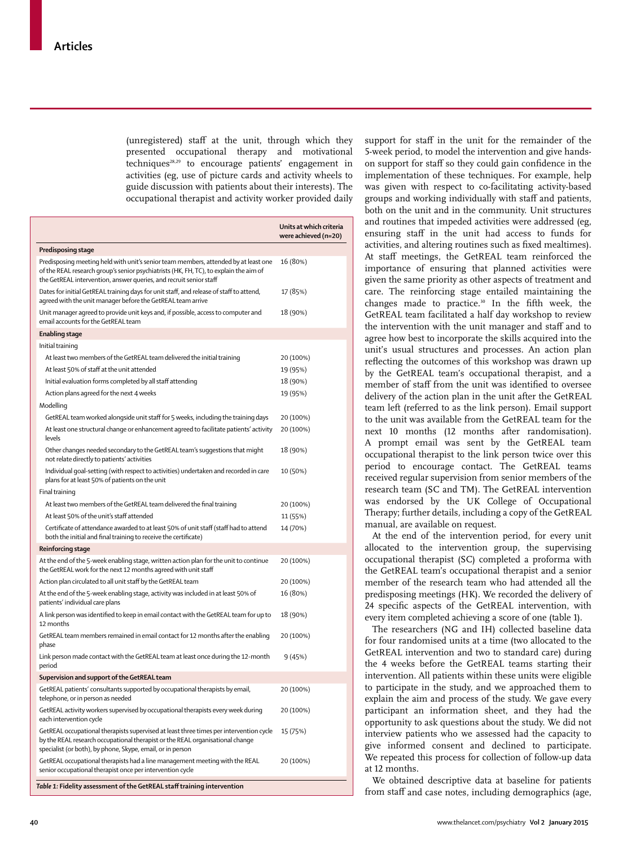(unregistered) staff at the unit, through which they presented occupational therapy and motivational techniques $^{28,29}$  to encourage patients' engagement in activities (eg, use of picture cards and activity wheels to guide discussion with patients about their interests). The occupational therapist and activity worker provided daily

|                                                                                                                                                                                                                                                    | Units at which criteria<br>were achieved (n=20) |
|----------------------------------------------------------------------------------------------------------------------------------------------------------------------------------------------------------------------------------------------------|-------------------------------------------------|
| Predisposing stage                                                                                                                                                                                                                                 |                                                 |
| Predisposing meeting held with unit's senior team members, attended by at least one<br>of the REAL research group's senior psychiatrists (HK, FH, TC), to explain the aim of<br>the GetREAL intervention, answer queries, and recruit senior staff | 16 (80%)                                        |
| Dates for initial GetREAL training days for unit staff, and release of staff to attend,<br>agreed with the unit manager before the GetREAL team arrive                                                                                             | 17 (85%)                                        |
| Unit manager agreed to provide unit keys and, if possible, access to computer and<br>email accounts for the GetREAL team                                                                                                                           | 18 (90%)                                        |
| Enabling stage                                                                                                                                                                                                                                     |                                                 |
| Initial training                                                                                                                                                                                                                                   |                                                 |
| At least two members of the GetREAL team delivered the initial training                                                                                                                                                                            | 20 (100%)                                       |
| At least 50% of staff at the unit attended                                                                                                                                                                                                         | 19 (95%)                                        |
| Initial evaluation forms completed by all staff attending                                                                                                                                                                                          | 18 (90%)                                        |
| Action plans agreed for the next 4 weeks                                                                                                                                                                                                           | 19 (95%)                                        |
| Modelling                                                                                                                                                                                                                                          |                                                 |
| GetREAL team worked alongside unit staff for 5 weeks, including the training days                                                                                                                                                                  | 20 (100%)                                       |
| At least one structural change or enhancement agreed to facilitate patients' activity<br>levels                                                                                                                                                    | 20 (100%)                                       |
| Other changes needed secondary to the GetREAL team's suggestions that might<br>not relate directly to patients' activities                                                                                                                         | 18 (90%)                                        |
| Individual goal-setting (with respect to activities) undertaken and recorded in care<br>plans for at least 50% of patients on the unit                                                                                                             | 10 (50%)                                        |
| Final training                                                                                                                                                                                                                                     |                                                 |
| At least two members of the GetREAL team delivered the final training                                                                                                                                                                              | 20 (100%)                                       |
| At least 50% of the unit's staff attended                                                                                                                                                                                                          | 11 (55%)                                        |
| Certificate of attendance awarded to at least 50% of unit staff (staff had to attend<br>both the initial and final training to receive the certificate)                                                                                            | 14 (70%)                                        |
| Reinforcing stage                                                                                                                                                                                                                                  |                                                 |
| At the end of the 5-week enabling stage, written action plan for the unit to continue<br>the GetREAL work for the next 12 months agreed with unit staff                                                                                            | 20 (100%)                                       |
| Action plan circulated to all unit staff by the GetREAL team                                                                                                                                                                                       | 20 (100%)                                       |
| At the end of the 5-week enabling stage, activity was included in at least 50% of<br>patients' individual care plans                                                                                                                               | 16 (80%)                                        |
| A link person was identified to keep in email contact with the GetREAL team for up to<br>12 months                                                                                                                                                 | 18 (90%)                                        |
| GetREAL team members remained in email contact for 12 months after the enabling<br>phase                                                                                                                                                           | 20 (100%)                                       |
| Link person made contact with the GetREAL team at least once during the 12-month<br>period                                                                                                                                                         | 9 (45%)                                         |
| Supervision and support of the GetREAL team                                                                                                                                                                                                        |                                                 |
| GetREAL patients' consultants supported by occupational therapists by email,<br>telephone, or in person as needed                                                                                                                                  | 20 (100%)                                       |
| GetREAL activity workers supervised by occupational therapists every week during<br>each intervention cycle                                                                                                                                        | 20 (100%)                                       |
| GetREAL occupational therapists supervised at least three times per intervention cycle<br>by the REAL research occupational therapist or the REAL organisational change<br>specialist (or both), by phone, Skype, email, or in person              | 15 (75%)                                        |
| GetREAL occupational therapists had a line management meeting with the REAL<br>senior occupational therapist once per intervention cycle                                                                                                           | 20 (100%)                                       |
|                                                                                                                                                                                                                                                    |                                                 |

*Table 1:* **Fidelity assessment of the GetREAL staff training intervention** 

support for staff in the unit for the remainder of the 5-week period, to model the intervention and give handson support for staff so they could gain confidence in the implementation of these techniques. For example, help was given with respect to co-facilitating activity-based groups and working individually with staff and patients, both on the unit and in the community. Unit structures and routines that impeded activities were addressed (eg, ensuring staff in the unit had access to funds for activities, and altering routines such as fixed mealtimes). At staff meetings, the GetREAL team reinforced the importance of ensuring that planned activities were given the same priority as other aspects of treatment and care. The reinforcing stage entailed maintaining the changes made to practice.<sup>30</sup> In the fifth week, the GetREAL team facilitated a half day workshop to review the intervention with the unit manager and staff and to agree how best to incorporate the skills acquired into the unit's usual structures and processes. An action plan reflecting the outcomes of this workshop was drawn up by the GetREAL team's occupational therapist, and a member of staff from the unit was identified to oversee delivery of the action plan in the unit after the GetREAL team left (referred to as the link person). Email support to the unit was available from the GetREAL team for the next 10 months (12 months after randomisation). A prompt email was sent by the GetREAL team occupational therapist to the link person twice over this period to encourage contact. The GetREAL teams received regular supervision from senior members of the research team (SC and TM). The GetREAL intervention was endorsed by the UK College of Occupational Therapy; further details, including a copy of the GetREAL manual, are available on request.

At the end of the intervention period, for every unit allocated to the intervention group, the supervising occupational therapist (SC) completed a proforma with the GetREAL team's occupational therapist and a senior member of the research team who had attended all the predisposing meetings (HK). We recorded the delivery of 24 specific aspects of the GetREAL intervention, with every item completed achieving a score of one (table 1).

The researchers (NG and IH) collected baseline data for four randomised units at a time (two allocated to the GetREAL intervention and two to standard care) during the 4 weeks before the GetREAL teams starting their intervention. All patients within these units were eligible to participate in the study, and we approached them to explain the aim and process of the study. We gave every participant an information sheet, and they had the opportunity to ask questions about the study. We did not interview patients who we assessed had the capacity to give informed consent and declined to participate. We repeated this process for collection of follow-up data at 12 months.

We obtained descriptive data at baseline for patients from staff and case notes, including demographics (age,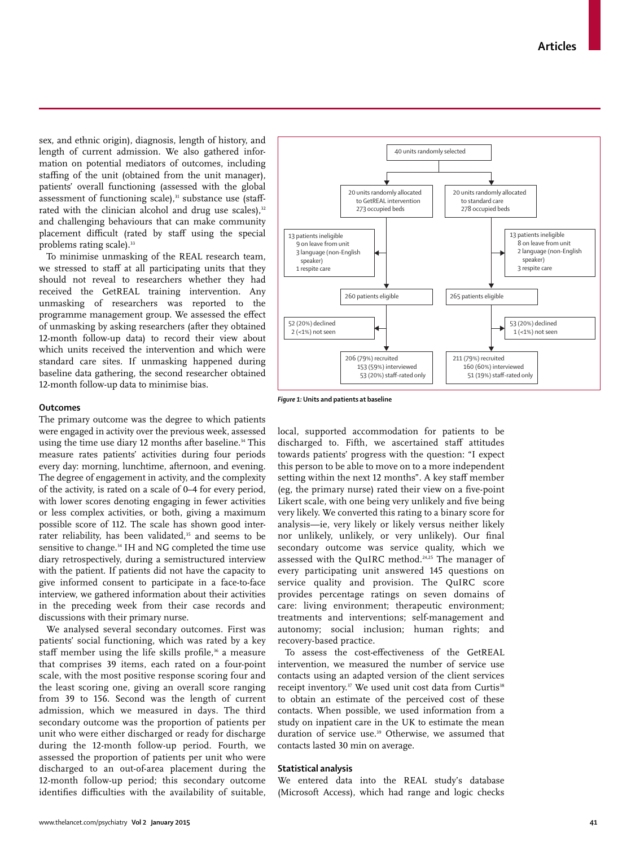sex, and ethnic origin), diagnosis, length of history, and length of current admission. We also gathered information on potential mediators of outcomes, including staffing of the unit (obtained from the unit manager), patients' overall functioning (assessed with the global assessment of functioning scale),<sup>31</sup> substance use (staffrated with the clinician alcohol and drug use scales),<sup>32</sup> and challenging behaviours that can make community placement difficult (rated by staff using the special problems rating scale).<sup>33</sup>

To minimise unmasking of the REAL research team, we stressed to staff at all participating units that they should not reveal to researchers whether they had received the GetREAL training intervention. Any unmasking of researchers was reported to the programme management group. We assessed the effect of unmasking by asking researchers (after they obtained 12-month follow-up data) to record their view about which units received the intervention and which were standard care sites. If unmasking happened during baseline data gathering, the second researcher obtained 12-month follow-up data to minimise bias.

#### 40 units randomly selected 20 units randomly allocated to GetREAL intervention 273 occupied beds 20 units randomly allocated to standard care 278 occupied beds 13 patients ineligible 8 on leave from unit 2 language (non-English speaker) 3 respite care 13 patients ineligible 9 on leave from unit 3 language (non-English speaker) 1 respite care 260 patients eligible 265 patients eligible 53 (20%) declined 1 (<1%) not seen 52 (20%) declined 2 (<1%) not seen 206 (79%) recruited 153 (59%) interviewed 53 (20%) staff-rated only 211 (79%) recruited 160 (60%) interviewed 51 (19%) staff-rated only

#### *Figure 1:* **Units and patients at baseline**

**Outcomes**

The primary outcome was the degree to which patients were engaged in activity over the previous week, assessed using the time use diary 12 months after baseline.<sup>34</sup> This measure rates patients' activities during four periods every day: morning, lunchtime, afternoon, and evening. The degree of engagement in activity, and the complexity of the activity, is rated on a scale of 0–4 for every period, with lower scores denoting engaging in fewer activities or less complex activities, or both, giving a maximum possible score of 112. The scale has shown good interrater reliability, has been validated,<sup>35</sup> and seems to be sensitive to change.<sup>34</sup> IH and NG completed the time use diary retrospectively, during a semistructured interview with the patient. If patients did not have the capacity to give informed consent to participate in a face-to-face interview, we gathered information about their activities in the preceding week from their case records and discussions with their primary nurse.

We analysed several secondary outcomes. First was patients' social functioning, which was rated by a key staff member using the life skills profile,<sup>36</sup> a measure that comprises 39 items, each rated on a four-point scale, with the most positive response scoring four and the least scoring one, giving an overall score ranging from 39 to 156. Second was the length of current admission, which we measured in days. The third secondary outcome was the proportion of patients per unit who were either discharged or ready for discharge during the 12-month follow-up period. Fourth, we assessed the proportion of patients per unit who were discharged to an out-of-area placement during the 12-month follow-up period; this secondary outcome identifies difficulties with the availability of suitable, local, supported accommodation for patients to be discharged to. Fifth, we ascertained staff attitudes towards patients' progress with the question: "I expect this person to be able to move on to a more independent setting within the next 12 months". A key staff member (eg, the primary nurse) rated their view on a five-point Likert scale, with one being very unlikely and five being very likely. We converted this rating to a binary score for analysis—ie, very likely or likely versus neither likely nor unlikely, unlikely, or very unlikely). Our final secondary outcome was service quality, which we assessed with the QuIRC method.24,25 The manager of every participating unit answered 145 questions on service quality and provision. The QuIRC score provides percentage ratings on seven domains of care: living environment; therapeutic environment; treatments and interventions; self-management and autonomy; social inclusion; human rights; and recovery-based practice.

To assess the cost-effectiveness of the GetREAL intervention, we measured the number of service use contacts using an adapted version of the client services receipt inventory.<sup>37</sup> We used unit cost data from Curtis<sup>38</sup> to obtain an estimate of the perceived cost of these contacts. When possible, we used information from a study on inpatient care in the UK to estimate the mean duration of service use.<sup>39</sup> Otherwise, we assumed that contacts lasted 30 min on average.

# **Statistical analysis**

We entered data into the REAL study's database (Microsoft Access), which had range and logic checks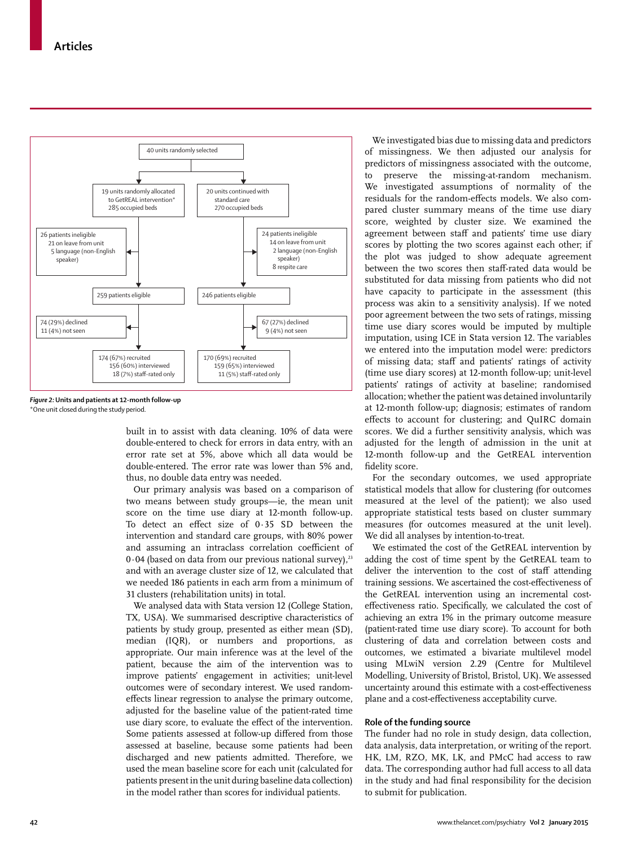

*Figure 2:* **Units and patients at 12-month follow-up** \*One unit closed during the study period.

built in to assist with data cleaning. 10% of data were double-entered to check for errors in data entry, with an error rate set at 5%, above which all data would be double-entered. The error rate was lower than 5% and, thus, no double data entry was needed.

Our primary analysis was based on a comparison of two means between study groups—ie, the mean unit score on the time use diary at 12-month follow-up. To detect an effect size of  $0.35$  SD between the intervention and standard care groups, with 80% power and assuming an intraclass correlation coefficient of  $0.04$  (based on data from our previous national survey),<sup>23</sup> and with an average cluster size of 12, we calculated that we needed 186 patients in each arm from a minimum of 31 clusters (rehabilitation units) in total.

We analysed data with Stata version 12 (College Station, TX, USA). We summarised descriptive characteristics of patients by study group, presented as either mean (SD), median (IQR), or numbers and proportions, as appropriate. Our main inference was at the level of the patient, because the aim of the intervention was to improve patients' engagement in activities; unit-level outcomes were of secondary interest. We used randomeffects linear regression to analyse the primary outcome, adjusted for the baseline value of the patient-rated time use diary score, to evaluate the effect of the intervention. Some patients assessed at follow-up differed from those assessed at baseline, because some patients had been discharged and new patients admitted. Therefore, we used the mean baseline score for each unit (calculated for patients present in the unit during baseline data collection) in the model rather than scores for individual patients.

We investigated bias due to missing data and predictors of missingness. We then adjusted our analysis for predictors of missingness associated with the outcome, to preserve the missing-at-random mechanism. We investigated assumptions of normality of the residuals for the random-effects models. We also compared cluster summary means of the time use diary score, weighted by cluster size. We examined the agreement between staff and patients' time use diary scores by plotting the two scores against each other; if the plot was judged to show adequate agreement between the two scores then staff-rated data would be substituted for data missing from patients who did not have capacity to participate in the assessment (this process was akin to a sensitivity analysis). If we noted poor agreement between the two sets of ratings, missing time use diary scores would be imputed by multiple imputation, using ICE in Stata version 12. The variables we entered into the imputation model were: predictors of missing data; staff and patients' ratings of activity (time use diary scores) at 12-month follow-up; unit-level patients' ratings of activity at baseline; randomised allocation; whether the patient was detained involuntarily at 12-month follow-up; diagnosis; estimates of random effects to account for clustering; and QuIRC domain scores. We did a further sensitivity analysis, which was adjusted for the length of admission in the unit at 12-month follow-up and the GetREAL intervention fidelity score.

For the secondary outcomes, we used appropriate statistical models that allow for clustering (for outcomes measured at the level of the patient); we also used appropriate statistical tests based on cluster summary measures (for outcomes measured at the unit level). We did all analyses by intention-to-treat.

We estimated the cost of the GetREAL intervention by adding the cost of time spent by the GetREAL team to deliver the intervention to the cost of staff attending training sessions. We ascertained the cost-effectiveness of the GetREAL intervention using an incremental costeffectiveness ratio. Specifically, we calculated the cost of achieving an extra 1% in the primary outcome measure (patient-rated time use diary score). To account for both clustering of data and correlation between costs and outcomes, we estimated a bivariate multilevel model using MLwiN version 2.29 (Centre for Multilevel Modelling, University of Bristol, Bristol, UK). We assessed uncertainty around this estimate with a cost-effectiveness plane and a cost-effectiveness acceptability curve.

# **Role of the funding source**

The funder had no role in study design, data collection, data analysis, data interpretation, or writing of the report. HK, LM, RZO, MK, LK, and PMcC had access to raw data. The corresponding author had full access to all data in the study and had final responsibility for the decision to submit for publication.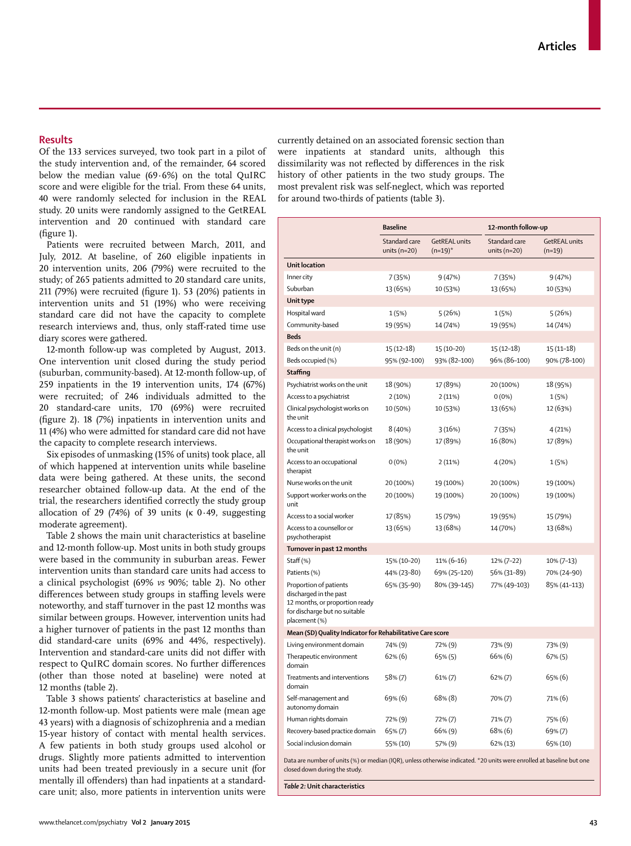# **Results**

Of the 133 services surveyed, two took part in a pilot of the study intervention and, of the remainder, 64 scored below the median value (69·6%) on the total QuIRC score and were eligible for the trial. From these 64 units, 40 were randomly selected for inclusion in the REAL study. 20 units were randomly assigned to the GetREAL intervention and 20 continued with standard care  $(figure 1)$ .

Patients were recruited between March, 2011, and July, 2012. At baseline, of 260 eligible inpatients in 20 intervention units, 206 (79%) were recruited to the study; of 265 patients admitted to 20 standard care units, 211 (79%) were recruited (figure 1). 53 (20%) patients in intervention units and 51 (19%) who were receiving standard care did not have the capacity to complete research interviews and, thus, only staff-rated time use diary scores were gathered.

12-month follow-up was completed by August, 2013. One intervention unit closed during the study period (suburban, community-based). At 12-month follow-up, of 259 inpatients in the 19 intervention units, 174 (67%) were recruited; of 246 individuals admitted to the 20 standard-care units, 170 (69%) were recruited (figure 2).  $18$  (7%) inpatients in intervention units and 11 (4%) who were admitted for standard care did not have the capacity to complete research interviews.

Six episodes of unmasking (15% of units) took place, all of which happened at intervention units while baseline data were being gathered. At these units, the second researcher obtained follow-up data. At the end of the trial, the researchers identified correctly the study group allocation of 29 (74%) of 39 units ( $\kappa$  0.49, suggesting moderate agreement).

Table 2 shows the main unit characteristics at baseline and 12-month follow-up. Most units in both study groups were based in the community in suburban areas. Fewer intervention units than standard care units had access to a clinical psychologist (69% *vs* 90%; table 2). No other differences between study groups in staffing levels were noteworthy, and staff turnover in the past 12 months was similar between groups. However, intervention units had a higher turnover of patients in the past 12 months than did standard-care units (69% and 44%, respectively). Intervention and standard-care units did not differ with respect to QuIRC domain scores. No further differences (other than those noted at baseline) were noted at 12 months (table 2).

Table 3 shows patients' characteristics at baseline and 12-month follow-up. Most patients were male (mean age 43 years) with a diagnosis of schizophrenia and a median 15-year history of contact with mental health services. A few patients in both study groups used alcohol or drugs. Slightly more patients admitted to intervention units had been treated previously in a secure unit (for mentally ill offenders) than had inpatients at a standardcare unit; also, more patients in intervention units were

currently detained on an associated forensic section than were inpatients at standard units, although this dissimilarity was not reflected by differences in the risk history of other patients in the two study groups. The most prevalent risk was self-neglect, which was reported for around two-thirds of patients (table 3).

|                                                                                                                                                        | <b>Baseline</b>                   |                                    | 12-month follow-up                |                                  |
|--------------------------------------------------------------------------------------------------------------------------------------------------------|-----------------------------------|------------------------------------|-----------------------------------|----------------------------------|
|                                                                                                                                                        | Standard care<br>units ( $n=20$ ) | <b>GetREAL units</b><br>$(n=19)^*$ | Standard care<br>units ( $n=20$ ) | <b>GetREAL units</b><br>$(n=19)$ |
| <b>Unit location</b>                                                                                                                                   |                                   |                                    |                                   |                                  |
| Inner city                                                                                                                                             | 7 (35%)                           | 9(47%)                             | 7 (35%)                           | 9(47%)                           |
| Suburban                                                                                                                                               | 13 (65%)                          | 10 (53%)                           | 13 (65%)                          | 10 (53%)                         |
| Unit type                                                                                                                                              |                                   |                                    |                                   |                                  |
| Hospital ward                                                                                                                                          | 1(5%)                             | 5(26%)                             | 1(5%)                             | 5(26%)                           |
| Community-based                                                                                                                                        | 19 (95%)                          | 14 (74%)                           | 19 (95%)                          | 14 (74%)                         |
| <b>Beds</b>                                                                                                                                            |                                   |                                    |                                   |                                  |
| Beds on the unit (n)                                                                                                                                   | $15(12-18)$                       | 15 (10-20)                         | $15(12-18)$                       | 15 (11–18)                       |
| Beds occupied (%)                                                                                                                                      | 95% (92-100)                      | 93% (82-100)                       | 96% (86-100)                      | 90% (78-100)                     |
| Staffing                                                                                                                                               |                                   |                                    |                                   |                                  |
| Psychiatrist works on the unit                                                                                                                         | 18 (90%)                          | 17 (89%)                           | 20 (100%)                         | 18 (95%)                         |
| Access to a psychiatrist                                                                                                                               | 2(10%)                            | 2(11%)                             | $0(0\%)$                          | 1(5%)                            |
| Clinical psychologist works on<br>the unit                                                                                                             | 10 (50%)                          | 10 (53%)                           | 13 (65%)                          | 12 (63%)                         |
| Access to a clinical psychologist                                                                                                                      | 8(40%)                            | 3(16%)                             | 7 (35%)                           | 4 (21%)                          |
| Occupational therapist works on<br>the unit                                                                                                            | 18 (90%)                          | 17 (89%)                           | 16 (80%)                          | 17 (89%)                         |
| Access to an occupational<br>therapist                                                                                                                 | $0(0\%)$                          | 2(11%)                             | 4 (20%)                           | 1 (5%)                           |
| Nurse works on the unit                                                                                                                                | 20 (100%)                         | 19 (100%)                          | 20 (100%)                         | 19 (100%)                        |
| Support worker works on the<br>unit                                                                                                                    | 20 (100%)                         | 19 (100%)                          | 20 (100%)                         | 19 (100%)                        |
| Access to a social worker                                                                                                                              | 17 (85%)                          | 15 (79%)                           | 19 (95%)                          | 15 (79%)                         |
| Access to a counsellor or<br>psychotherapist                                                                                                           | 13 (65%)                          | 13 (68%)                           | 14 (70%)                          | 13 (68%)                         |
| Turnover in past 12 months                                                                                                                             |                                   |                                    |                                   |                                  |
| Staff (%)                                                                                                                                              | 15% (10-20)                       | 11% (6-16)                         | 12% (7-22)                        | $10\% (7-13)$                    |
| Patients (%)                                                                                                                                           | 44% (23-80)                       | 69% (25-120)                       | 56% (31-89)                       | 70% (24-90)                      |
| Proportion of patients<br>discharged in the past<br>12 months, or proportion ready<br>for discharge but no suitable<br>placement (%)                   | 65% (35–90)                       | 80% (39-145)                       | 77% (49-103)                      | 85% (41-113)                     |
| Mean (SD) Quality Indicator for Rehabilitative Care score                                                                                              |                                   |                                    |                                   |                                  |
| Living environment domain                                                                                                                              | 74% (9)                           | 72% (9)                            | 73% (9)                           | 73% (9)                          |
| Therapeutic environment<br>domain                                                                                                                      | 62% (6)                           | 65% (5)                            | 66% (6)                           | 67% (5)                          |
| Treatments and interventions<br>domain                                                                                                                 | 58% (7)                           | 61% (7)                            | $62\% (7)$                        | 65% (6)                          |
| Self-management and<br>autonomy domain                                                                                                                 | 69% (6)                           | 68% (8)                            | 70% (7)                           | 71% (6)                          |
| Human rights domain                                                                                                                                    | 72% (9)                           | 72% (7)                            | 71% (7)                           | 75% (6)                          |
| Recovery-based practice domain                                                                                                                         | 65% (7)                           | 66% (9)                            | 68% (6)                           | 69% (7)                          |
| Social inclusion domain                                                                                                                                | 55% (10)                          | 57% (9)                            | 62% (13)                          | 65% (10)                         |
| Data are number of units (%) or median (IQR), unless otherwise indicated. *20 units were enrolled at baseline but one<br>closed down during the study. |                                   |                                    |                                   |                                  |

*Table 2:* **Unit characteristics**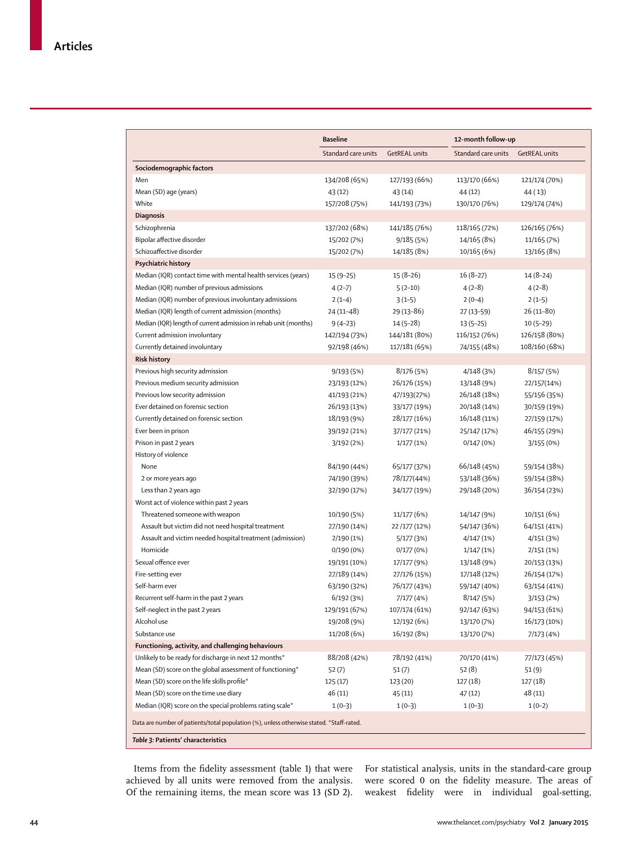| <b>Baseline</b>     |                                                                                                                                                                                                                                                                                                                                                                                                                                                                                                                                                                                                                                                                                    | 12-month follow-up                                                                                                                                                                                                                                                                                                                                                                                                                                                                                                                                                                    |                                                                                                                                                                                                                                                                                                                                                                                                                                                                                                                                                                                       |
|---------------------|------------------------------------------------------------------------------------------------------------------------------------------------------------------------------------------------------------------------------------------------------------------------------------------------------------------------------------------------------------------------------------------------------------------------------------------------------------------------------------------------------------------------------------------------------------------------------------------------------------------------------------------------------------------------------------|---------------------------------------------------------------------------------------------------------------------------------------------------------------------------------------------------------------------------------------------------------------------------------------------------------------------------------------------------------------------------------------------------------------------------------------------------------------------------------------------------------------------------------------------------------------------------------------|---------------------------------------------------------------------------------------------------------------------------------------------------------------------------------------------------------------------------------------------------------------------------------------------------------------------------------------------------------------------------------------------------------------------------------------------------------------------------------------------------------------------------------------------------------------------------------------|
| Standard care units | <b>GetREAL units</b>                                                                                                                                                                                                                                                                                                                                                                                                                                                                                                                                                                                                                                                               | Standard care units                                                                                                                                                                                                                                                                                                                                                                                                                                                                                                                                                                   | GetREAL units                                                                                                                                                                                                                                                                                                                                                                                                                                                                                                                                                                         |
|                     |                                                                                                                                                                                                                                                                                                                                                                                                                                                                                                                                                                                                                                                                                    |                                                                                                                                                                                                                                                                                                                                                                                                                                                                                                                                                                                       |                                                                                                                                                                                                                                                                                                                                                                                                                                                                                                                                                                                       |
|                     |                                                                                                                                                                                                                                                                                                                                                                                                                                                                                                                                                                                                                                                                                    |                                                                                                                                                                                                                                                                                                                                                                                                                                                                                                                                                                                       | 121/174 (70%)                                                                                                                                                                                                                                                                                                                                                                                                                                                                                                                                                                         |
|                     |                                                                                                                                                                                                                                                                                                                                                                                                                                                                                                                                                                                                                                                                                    |                                                                                                                                                                                                                                                                                                                                                                                                                                                                                                                                                                                       | 44 (13)                                                                                                                                                                                                                                                                                                                                                                                                                                                                                                                                                                               |
|                     |                                                                                                                                                                                                                                                                                                                                                                                                                                                                                                                                                                                                                                                                                    |                                                                                                                                                                                                                                                                                                                                                                                                                                                                                                                                                                                       | 129/174 (74%)                                                                                                                                                                                                                                                                                                                                                                                                                                                                                                                                                                         |
|                     |                                                                                                                                                                                                                                                                                                                                                                                                                                                                                                                                                                                                                                                                                    |                                                                                                                                                                                                                                                                                                                                                                                                                                                                                                                                                                                       |                                                                                                                                                                                                                                                                                                                                                                                                                                                                                                                                                                                       |
|                     |                                                                                                                                                                                                                                                                                                                                                                                                                                                                                                                                                                                                                                                                                    |                                                                                                                                                                                                                                                                                                                                                                                                                                                                                                                                                                                       | 126/165 (76%)                                                                                                                                                                                                                                                                                                                                                                                                                                                                                                                                                                         |
|                     |                                                                                                                                                                                                                                                                                                                                                                                                                                                                                                                                                                                                                                                                                    |                                                                                                                                                                                                                                                                                                                                                                                                                                                                                                                                                                                       | 11/165 (7%)                                                                                                                                                                                                                                                                                                                                                                                                                                                                                                                                                                           |
|                     |                                                                                                                                                                                                                                                                                                                                                                                                                                                                                                                                                                                                                                                                                    |                                                                                                                                                                                                                                                                                                                                                                                                                                                                                                                                                                                       | 13/165 (8%)                                                                                                                                                                                                                                                                                                                                                                                                                                                                                                                                                                           |
|                     |                                                                                                                                                                                                                                                                                                                                                                                                                                                                                                                                                                                                                                                                                    |                                                                                                                                                                                                                                                                                                                                                                                                                                                                                                                                                                                       |                                                                                                                                                                                                                                                                                                                                                                                                                                                                                                                                                                                       |
|                     |                                                                                                                                                                                                                                                                                                                                                                                                                                                                                                                                                                                                                                                                                    |                                                                                                                                                                                                                                                                                                                                                                                                                                                                                                                                                                                       | $14(8-24)$                                                                                                                                                                                                                                                                                                                                                                                                                                                                                                                                                                            |
|                     |                                                                                                                                                                                                                                                                                                                                                                                                                                                                                                                                                                                                                                                                                    |                                                                                                                                                                                                                                                                                                                                                                                                                                                                                                                                                                                       | $4(2-8)$                                                                                                                                                                                                                                                                                                                                                                                                                                                                                                                                                                              |
|                     |                                                                                                                                                                                                                                                                                                                                                                                                                                                                                                                                                                                                                                                                                    |                                                                                                                                                                                                                                                                                                                                                                                                                                                                                                                                                                                       | $2(1-5)$                                                                                                                                                                                                                                                                                                                                                                                                                                                                                                                                                                              |
|                     |                                                                                                                                                                                                                                                                                                                                                                                                                                                                                                                                                                                                                                                                                    |                                                                                                                                                                                                                                                                                                                                                                                                                                                                                                                                                                                       | $26(11-80)$                                                                                                                                                                                                                                                                                                                                                                                                                                                                                                                                                                           |
|                     |                                                                                                                                                                                                                                                                                                                                                                                                                                                                                                                                                                                                                                                                                    |                                                                                                                                                                                                                                                                                                                                                                                                                                                                                                                                                                                       | $10(5-29)$                                                                                                                                                                                                                                                                                                                                                                                                                                                                                                                                                                            |
|                     |                                                                                                                                                                                                                                                                                                                                                                                                                                                                                                                                                                                                                                                                                    |                                                                                                                                                                                                                                                                                                                                                                                                                                                                                                                                                                                       | 126/158 (80%)                                                                                                                                                                                                                                                                                                                                                                                                                                                                                                                                                                         |
|                     |                                                                                                                                                                                                                                                                                                                                                                                                                                                                                                                                                                                                                                                                                    |                                                                                                                                                                                                                                                                                                                                                                                                                                                                                                                                                                                       | 108/160 (68%)                                                                                                                                                                                                                                                                                                                                                                                                                                                                                                                                                                         |
|                     |                                                                                                                                                                                                                                                                                                                                                                                                                                                                                                                                                                                                                                                                                    |                                                                                                                                                                                                                                                                                                                                                                                                                                                                                                                                                                                       |                                                                                                                                                                                                                                                                                                                                                                                                                                                                                                                                                                                       |
|                     |                                                                                                                                                                                                                                                                                                                                                                                                                                                                                                                                                                                                                                                                                    |                                                                                                                                                                                                                                                                                                                                                                                                                                                                                                                                                                                       | 8/157(5%)                                                                                                                                                                                                                                                                                                                                                                                                                                                                                                                                                                             |
|                     |                                                                                                                                                                                                                                                                                                                                                                                                                                                                                                                                                                                                                                                                                    |                                                                                                                                                                                                                                                                                                                                                                                                                                                                                                                                                                                       | 22/157(14%)                                                                                                                                                                                                                                                                                                                                                                                                                                                                                                                                                                           |
|                     |                                                                                                                                                                                                                                                                                                                                                                                                                                                                                                                                                                                                                                                                                    |                                                                                                                                                                                                                                                                                                                                                                                                                                                                                                                                                                                       | 55/156 (35%)                                                                                                                                                                                                                                                                                                                                                                                                                                                                                                                                                                          |
|                     |                                                                                                                                                                                                                                                                                                                                                                                                                                                                                                                                                                                                                                                                                    |                                                                                                                                                                                                                                                                                                                                                                                                                                                                                                                                                                                       | 30/159 (19%)                                                                                                                                                                                                                                                                                                                                                                                                                                                                                                                                                                          |
|                     |                                                                                                                                                                                                                                                                                                                                                                                                                                                                                                                                                                                                                                                                                    |                                                                                                                                                                                                                                                                                                                                                                                                                                                                                                                                                                                       | 27/159 (17%)                                                                                                                                                                                                                                                                                                                                                                                                                                                                                                                                                                          |
|                     |                                                                                                                                                                                                                                                                                                                                                                                                                                                                                                                                                                                                                                                                                    |                                                                                                                                                                                                                                                                                                                                                                                                                                                                                                                                                                                       | 46/155 (29%)                                                                                                                                                                                                                                                                                                                                                                                                                                                                                                                                                                          |
|                     |                                                                                                                                                                                                                                                                                                                                                                                                                                                                                                                                                                                                                                                                                    |                                                                                                                                                                                                                                                                                                                                                                                                                                                                                                                                                                                       | 3/155 (0%)                                                                                                                                                                                                                                                                                                                                                                                                                                                                                                                                                                            |
|                     |                                                                                                                                                                                                                                                                                                                                                                                                                                                                                                                                                                                                                                                                                    |                                                                                                                                                                                                                                                                                                                                                                                                                                                                                                                                                                                       |                                                                                                                                                                                                                                                                                                                                                                                                                                                                                                                                                                                       |
|                     |                                                                                                                                                                                                                                                                                                                                                                                                                                                                                                                                                                                                                                                                                    |                                                                                                                                                                                                                                                                                                                                                                                                                                                                                                                                                                                       |                                                                                                                                                                                                                                                                                                                                                                                                                                                                                                                                                                                       |
|                     |                                                                                                                                                                                                                                                                                                                                                                                                                                                                                                                                                                                                                                                                                    |                                                                                                                                                                                                                                                                                                                                                                                                                                                                                                                                                                                       | 59/154 (38%)                                                                                                                                                                                                                                                                                                                                                                                                                                                                                                                                                                          |
|                     |                                                                                                                                                                                                                                                                                                                                                                                                                                                                                                                                                                                                                                                                                    |                                                                                                                                                                                                                                                                                                                                                                                                                                                                                                                                                                                       | 59/154 (38%)                                                                                                                                                                                                                                                                                                                                                                                                                                                                                                                                                                          |
|                     |                                                                                                                                                                                                                                                                                                                                                                                                                                                                                                                                                                                                                                                                                    |                                                                                                                                                                                                                                                                                                                                                                                                                                                                                                                                                                                       | 36/154 (23%)                                                                                                                                                                                                                                                                                                                                                                                                                                                                                                                                                                          |
|                     |                                                                                                                                                                                                                                                                                                                                                                                                                                                                                                                                                                                                                                                                                    |                                                                                                                                                                                                                                                                                                                                                                                                                                                                                                                                                                                       | 10/151 (6%)                                                                                                                                                                                                                                                                                                                                                                                                                                                                                                                                                                           |
|                     |                                                                                                                                                                                                                                                                                                                                                                                                                                                                                                                                                                                                                                                                                    |                                                                                                                                                                                                                                                                                                                                                                                                                                                                                                                                                                                       |                                                                                                                                                                                                                                                                                                                                                                                                                                                                                                                                                                                       |
|                     |                                                                                                                                                                                                                                                                                                                                                                                                                                                                                                                                                                                                                                                                                    |                                                                                                                                                                                                                                                                                                                                                                                                                                                                                                                                                                                       | 64/151 (41%)                                                                                                                                                                                                                                                                                                                                                                                                                                                                                                                                                                          |
|                     |                                                                                                                                                                                                                                                                                                                                                                                                                                                                                                                                                                                                                                                                                    |                                                                                                                                                                                                                                                                                                                                                                                                                                                                                                                                                                                       | 4/151(3%)                                                                                                                                                                                                                                                                                                                                                                                                                                                                                                                                                                             |
|                     |                                                                                                                                                                                                                                                                                                                                                                                                                                                                                                                                                                                                                                                                                    |                                                                                                                                                                                                                                                                                                                                                                                                                                                                                                                                                                                       | 2/151(1%)                                                                                                                                                                                                                                                                                                                                                                                                                                                                                                                                                                             |
|                     |                                                                                                                                                                                                                                                                                                                                                                                                                                                                                                                                                                                                                                                                                    |                                                                                                                                                                                                                                                                                                                                                                                                                                                                                                                                                                                       | 20/153 (13%)                                                                                                                                                                                                                                                                                                                                                                                                                                                                                                                                                                          |
|                     |                                                                                                                                                                                                                                                                                                                                                                                                                                                                                                                                                                                                                                                                                    |                                                                                                                                                                                                                                                                                                                                                                                                                                                                                                                                                                                       | 26/154 (17%)                                                                                                                                                                                                                                                                                                                                                                                                                                                                                                                                                                          |
|                     |                                                                                                                                                                                                                                                                                                                                                                                                                                                                                                                                                                                                                                                                                    |                                                                                                                                                                                                                                                                                                                                                                                                                                                                                                                                                                                       | 63/154 (41%)                                                                                                                                                                                                                                                                                                                                                                                                                                                                                                                                                                          |
|                     |                                                                                                                                                                                                                                                                                                                                                                                                                                                                                                                                                                                                                                                                                    |                                                                                                                                                                                                                                                                                                                                                                                                                                                                                                                                                                                       | 3/153(2%)                                                                                                                                                                                                                                                                                                                                                                                                                                                                                                                                                                             |
|                     |                                                                                                                                                                                                                                                                                                                                                                                                                                                                                                                                                                                                                                                                                    |                                                                                                                                                                                                                                                                                                                                                                                                                                                                                                                                                                                       | 94/153 (61%)                                                                                                                                                                                                                                                                                                                                                                                                                                                                                                                                                                          |
|                     |                                                                                                                                                                                                                                                                                                                                                                                                                                                                                                                                                                                                                                                                                    |                                                                                                                                                                                                                                                                                                                                                                                                                                                                                                                                                                                       | 16/173 (10%)                                                                                                                                                                                                                                                                                                                                                                                                                                                                                                                                                                          |
|                     |                                                                                                                                                                                                                                                                                                                                                                                                                                                                                                                                                                                                                                                                                    |                                                                                                                                                                                                                                                                                                                                                                                                                                                                                                                                                                                       | 7/173 (4%)                                                                                                                                                                                                                                                                                                                                                                                                                                                                                                                                                                            |
|                     |                                                                                                                                                                                                                                                                                                                                                                                                                                                                                                                                                                                                                                                                                    |                                                                                                                                                                                                                                                                                                                                                                                                                                                                                                                                                                                       |                                                                                                                                                                                                                                                                                                                                                                                                                                                                                                                                                                                       |
|                     |                                                                                                                                                                                                                                                                                                                                                                                                                                                                                                                                                                                                                                                                                    |                                                                                                                                                                                                                                                                                                                                                                                                                                                                                                                                                                                       | 77/173 (45%)                                                                                                                                                                                                                                                                                                                                                                                                                                                                                                                                                                          |
|                     |                                                                                                                                                                                                                                                                                                                                                                                                                                                                                                                                                                                                                                                                                    |                                                                                                                                                                                                                                                                                                                                                                                                                                                                                                                                                                                       | 51(9)                                                                                                                                                                                                                                                                                                                                                                                                                                                                                                                                                                                 |
|                     |                                                                                                                                                                                                                                                                                                                                                                                                                                                                                                                                                                                                                                                                                    |                                                                                                                                                                                                                                                                                                                                                                                                                                                                                                                                                                                       | 127 (18)                                                                                                                                                                                                                                                                                                                                                                                                                                                                                                                                                                              |
|                     |                                                                                                                                                                                                                                                                                                                                                                                                                                                                                                                                                                                                                                                                                    |                                                                                                                                                                                                                                                                                                                                                                                                                                                                                                                                                                                       | 48 (11)                                                                                                                                                                                                                                                                                                                                                                                                                                                                                                                                                                               |
|                     |                                                                                                                                                                                                                                                                                                                                                                                                                                                                                                                                                                                                                                                                                    |                                                                                                                                                                                                                                                                                                                                                                                                                                                                                                                                                                                       | $1(0-2)$                                                                                                                                                                                                                                                                                                                                                                                                                                                                                                                                                                              |
|                     |                                                                                                                                                                                                                                                                                                                                                                                                                                                                                                                                                                                                                                                                                    |                                                                                                                                                                                                                                                                                                                                                                                                                                                                                                                                                                                       |                                                                                                                                                                                                                                                                                                                                                                                                                                                                                                                                                                                       |
|                     | 134/208 (65%)<br>43 (12)<br>157/208 (75%)<br>137/202 (68%)<br>15/202 (7%)<br>15/202 (7%)<br>$15(9-25)$<br>$4(2-7)$<br>$2(1-4)$<br>24 (11-48)<br>$9(4-23)$<br>142/194 (73%)<br>92/198 (46%)<br>9/193(5%)<br>23/193 (12%)<br>41/193 (21%)<br>26/193 (13%)<br>18/193 (9%)<br>39/192 (21%)<br>3/192(2%)<br>84/190 (44%)<br>74/190 (39%)<br>32/190 (17%)<br>10/190 (5%)<br>27/190 (14%)<br>2/190(1%)<br>$0/190(0\%)$<br>19/191 (10%)<br>27/189 (14%)<br>63/190 (32%)<br>6/192(3%)<br>129/191 (67%)<br>19/208 (9%)<br>11/208 (6%)<br>88/208 (42%)<br>52(7)<br>125 (17)<br>46(11)<br>$1(0-3)$<br>Data are number of patients/total population (%), unless otherwise stated. *Staff-rated. | 127/193 (66%)<br>43 (14)<br>141/193 (73%)<br>141/185 (76%)<br>9/185(5%)<br>14/185 (8%)<br>$15(8-26)$<br>$5(2-10)$<br>$3(1-5)$<br>29 (13-86)<br>$14(5-28)$<br>144/181 (80%)<br>117/181 (65%)<br>8/176(5%)<br>26/176 (15%)<br>47/193(27%)<br>33/177 (19%)<br>28/177 (16%)<br>37/177 (21%)<br>1/177(1%)<br>65/177 (37%)<br>78/177(44%)<br>34/177 (19%)<br>11/177 (6%)<br>22/177 (12%)<br>5/177 (3%)<br>0/177(0%)<br>17/177 (9%)<br>27/176 (15%)<br>76/177 (43%)<br>7/177 (4%)<br>107/174 (61%)<br>12/192 (6%)<br>16/192 (8%)<br>78/192 (41%)<br>51(7)<br>123 (20)<br>45 (11)<br>$1(0-3)$ | 113/170 (66%)<br>44 (12)<br>130/170 (76%)<br>118/165 (72%)<br>14/165 (8%)<br>10/165 (6%)<br>$16(8-27)$<br>$4(2-8)$<br>$2(0-4)$<br>27 (13-59)<br>$13(5-25)$<br>116/152 (76%)<br>74/155 (48%)<br>4/148 (3%)<br>13/148 (9%)<br>26/148 (18%)<br>20/148 (14%)<br>16/148 (11%)<br>25/147 (17%)<br>0/147(0%)<br>66/148 (45%)<br>53/148 (36%)<br>29/148 (20%)<br>14/147 (9%)<br>54/147 (36%)<br>4/147 (1%)<br>1/147(1%)<br>13/148 (9%)<br>17/148 (12%)<br>59/147 (40%)<br>8/147(5%)<br>92/147 (63%)<br>13/170 (7%)<br>13/170 (7%)<br>70/170 (41%)<br>52(8)<br>127 (18)<br>47 (12)<br>$1(0-3)$ |

Items from the fidelity assessment (table 1) that were achieved by all units were removed from the analysis. Of the remaining items, the mean score was 13 (SD 2).

For statistical analysis, units in the standard-care group were scored 0 on the fidelity measure. The areas of weakest fidelity were in individual goal-setting,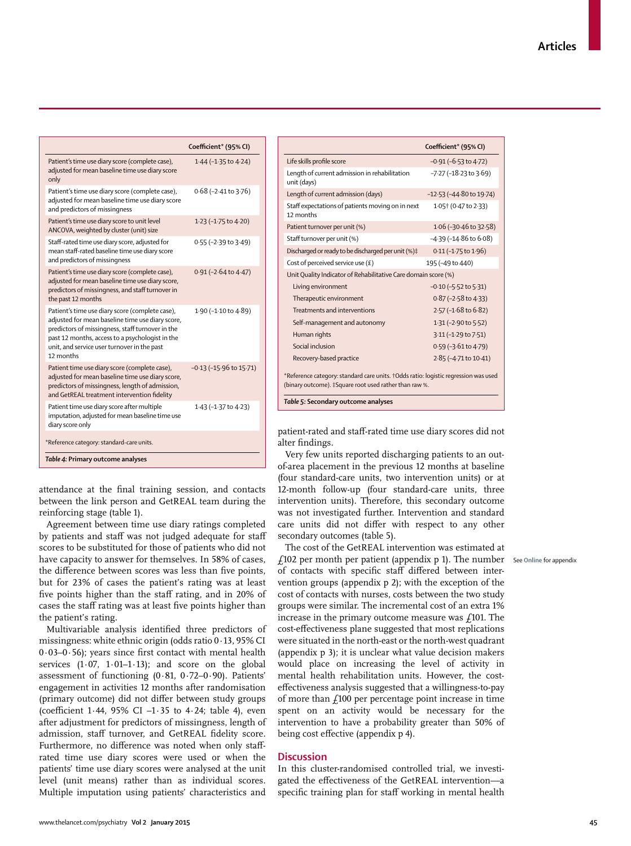|                                                                                                                                                                                                                                                                        | Coefficient* (95% CI)           |
|------------------------------------------------------------------------------------------------------------------------------------------------------------------------------------------------------------------------------------------------------------------------|---------------------------------|
| Patient's time use diary score (complete case),<br>adjusted for mean baseline time use diary score<br>only                                                                                                                                                             | 1.44 (-1.35 to 4.24)            |
| Patient's time use diary score (complete case),<br>adjusted for mean baseline time use diary score<br>and predictors of missingness                                                                                                                                    | $0.68$ ( $-2.41$ to $3.76$ )    |
| Patient's time use diary score to unit level<br>ANCOVA, weighted by cluster (unit) size                                                                                                                                                                                | 1.23 (-1.75 to 4.20)            |
| Staff-rated time use diary score, adjusted for<br>mean staff-rated baseline time use diary score<br>and predictors of missingness                                                                                                                                      | $0.55$ (-2.39 to 3.49)          |
| Patient's time use diary score (complete case),<br>adjusted for mean baseline time use diary score,<br>predictors of missingness, and staff turnover in<br>the past 12 months                                                                                          | $0.91$ (-2.64 to 4.47)          |
| Patient's time use diary score (complete case),<br>adjusted for mean baseline time use diary score,<br>predictors of missingness, staff turnover in the<br>past 12 months, access to a psychologist in the<br>unit, and service user turnover in the past<br>12 months | 1.90 (-1.10 to 4.89)            |
| Patient time use diary score (complete case),<br>adjusted for mean baseline time use diary score,<br>predictors of missingness, length of admission,<br>and GetREAL treatment intervention fidelity                                                                    | $-0.13$ ( $-15.96$ to $15.71$ ) |
| Patient time use diary score after multiple<br>imputation, adjusted for mean baseline time use<br>diary score only                                                                                                                                                     | 1.43 (-1.37 to 4.23)            |
| *Reference category: standard-care units.                                                                                                                                                                                                                              |                                 |
| Table 4: Primary outcome analyses                                                                                                                                                                                                                                      |                                 |

attendance at the final training session, and contacts between the link person and GetREAL team during the reinforcing stage (table 1).

Agreement between time use diary ratings completed by patients and staff was not judged adequate for staff scores to be substituted for those of patients who did not have capacity to answer for themselves. In 58% of cases, the difference between scores was less than five points, but for 23% of cases the patient's rating was at least five points higher than the staff rating, and in 20% of cases the staff rating was at least five points higher than the patient's rating.

Multivariable analysis identified three predictors of missingness: white ethnic origin (odds ratio 0·13, 95% CI  $0.03-0.56$ ); years since first contact with mental health services  $(1.07, 1.01-1.13)$ ; and score on the global assessment of functioning (0·81, 0·72–0·90). Patients' engagement in activities 12 months after randomisation (primary outcome) did not differ between study groups (coefficient 1.44, 95% CI  $-1.35$  to 4.24; table 4), even after adjustment for predictors of missingness, length of admission, staff turnover, and GetREAL fidelity score. Furthermore, no difference was noted when only staffrated time use diary scores were used or when the patients' time use diary scores were analysed at the unit level (unit means) rather than as individual scores. Multiple imputation using patients' characteristics and

|                                                                                                                                               | Coefficient* (95% CI)                    |  |
|-----------------------------------------------------------------------------------------------------------------------------------------------|------------------------------------------|--|
| Life skills profile score                                                                                                                     | $-0.91$ ( $-6.53$ to 4.72)               |  |
| Length of current admission in rehabilitation<br>unit (days)                                                                                  | $-7.27$ ( $-18.23$ to $3.69$ )           |  |
| Length of current admission (days)                                                                                                            | $-12.53$ ( $-44.80$ to 19.74)            |  |
| Staff expectations of patients moving on in next<br>12 months                                                                                 | 1.05 + (0.47 to 2.33)                    |  |
| Patient turnover per unit (%)                                                                                                                 | $1.06$ (-30 $\cdot$ 46 to 32 $\cdot$ 58) |  |
| Staff turnover per unit (%)                                                                                                                   | $-4.39$ ( $-14.86$ to $6.08$ )           |  |
| Discharged or ready to be discharged per unit (%)#                                                                                            | $0.11$ (-1.75 to 1.96)                   |  |
| Cost of perceived service use $(E)$                                                                                                           | 195 (-49 to 440)                         |  |
| Unit Quality Indicator of Rehabilitative Care domain score (%)                                                                                |                                          |  |
| Living environment                                                                                                                            | $-0.10$ ( $-5.52$ to $5.31$ )            |  |
| Therapeutic environment                                                                                                                       | $0.87$ (-2.58 to 4.33)                   |  |
| Treatments and interventions                                                                                                                  | 2.57 (-1.68 to 6.82)                     |  |
| Self-management and autonomy                                                                                                                  | 1.31 (-2.90 to 5.52)                     |  |
| Human rights                                                                                                                                  | 3.11 (-1.29 to 7.51)                     |  |
| Social inclusion                                                                                                                              | $0.59$ (-3.61 to 4.79)                   |  |
| Recovery-based practice                                                                                                                       | 2.85 (-4.71 to 10.41)                    |  |
| *Reference category: standard care units. †Odds ratio: logistic regression was used<br>(binary outcome). ‡Square root used rather than raw %. |                                          |  |
| Table 5: Secondary outcome analyses                                                                                                           |                                          |  |

patient-rated and staff -rated time use diary scores did not alter findings.

Very few units reported discharging patients to an outof-area placement in the previous 12 months at baseline (four standard-care units, two intervention units) or at 12-month follow-up (four standard-care units, three intervention units). Therefore, this secondary outcome was not investigated further. Intervention and standard care units did not differ with respect to any other secondary outcomes (table 5).

The cost of the GetREAL intervention was estimated at £102 per month per patient (appendix p 1). The number See **Online** for appendixof contacts with specific staff differed between intervention groups (appendix p 2); with the exception of the cost of contacts with nurses, costs between the two study groups were similar. The incremental cost of an extra 1% increase in the primary outcome measure was  $f101$ . The cost-effectiveness plane suggested that most replications were situated in the north-east or the north-west quadrant (appendix p 3); it is unclear what value decision makers would place on increasing the level of activity in mental health rehabilitation units. However, the costeffectiveness analysis suggested that a willingness-to-pay of more than  $f100$  per percentage point increase in time spent on an activity would be necessary for the intervention to have a probability greater than 50% of being cost effective (appendix p 4).

# **Discussion**

In this cluster-randomised controlled trial, we investigated the effectiveness of the GetREAL intervention—a specific training plan for staff working in mental health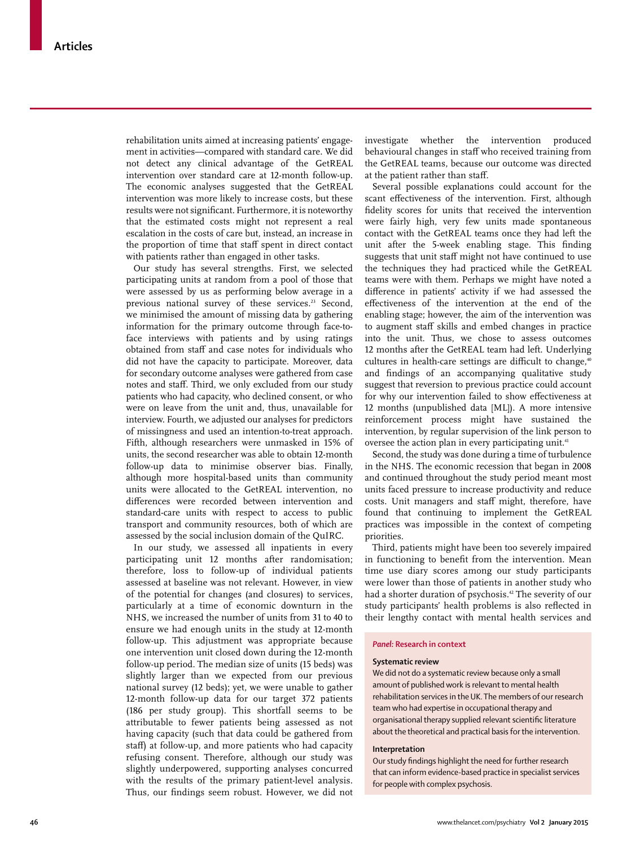rehabilitation units aimed at increasing patients' engagement in activities—compared with standard care. We did not detect any clinical advantage of the GetREAL intervention over standard care at 12-month follow-up. The economic analyses suggested that the GetREAL intervention was more likely to increase costs, but these results were not significant. Furthermore, it is noteworthy that the estimated costs might not represent a real escalation in the costs of care but, instead, an increase in the proportion of time that staff spent in direct contact with patients rather than engaged in other tasks.

Our study has several strengths. First, we selected participating units at random from a pool of those that were assessed by us as performing below average in a previous national survey of these services.<sup>23</sup> Second, we minimised the amount of missing data by gathering information for the primary outcome through face-toface interviews with patients and by using ratings obtained from staff and case notes for individuals who did not have the capacity to participate. Moreover, data for secondary outcome analyses were gathered from case notes and staff. Third, we only excluded from our study patients who had capacity, who declined consent, or who were on leave from the unit and, thus, unavailable for interview. Fourth, we adjusted our analyses for predictors of missingness and used an intention-to-treat approach. Fifth, although researchers were unmasked in 15% of units, the second researcher was able to obtain 12-month follow-up data to minimise observer bias. Finally, although more hospital-based units than community units were allocated to the GetREAL intervention, no differences were recorded between intervention and standard-care units with respect to access to public transport and community resources, both of which are assessed by the social inclusion domain of the QuIRC.

In our study, we assessed all inpatients in every participating unit 12 months after randomisation; therefore, loss to follow-up of individual patients assessed at baseline was not relevant. However, in view of the potential for changes (and closures) to services, particularly at a time of economic downturn in the NHS, we increased the number of units from 31 to 40 to ensure we had enough units in the study at 12-month follow-up. This adjustment was appropriate because one intervention unit closed down during the 12-month follow-up period. The median size of units (15 beds) was slightly larger than we expected from our previous national survey (12 beds); yet, we were unable to gather 12-month follow-up data for our target 372 patients (186 per study group). This shortfall seems to be attributable to fewer patients being assessed as not having capacity (such that data could be gathered from staff) at follow-up, and more patients who had capacity refusing consent. Therefore, although our study was slightly underpowered, supporting analyses concurred with the results of the primary patient-level analysis. Thus, our findings seem robust. However, we did not

investigate whether the intervention produced behavioural changes in staff who received training from the GetREAL teams, because our outcome was directed at the patient rather than staff.

Several possible explanations could account for the scant effectiveness of the intervention. First, although fidelity scores for units that received the intervention were fairly high, very few units made spontaneous contact with the GetREAL teams once they had left the unit after the 5-week enabling stage. This finding suggests that unit staff might not have continued to use the techniques they had practiced while the GetREAL teams were with them. Perhaps we might have noted a difference in patients' activity if we had assessed the effectiveness of the intervention at the end of the enabling stage; however, the aim of the intervention was to augment staff skills and embed changes in practice into the unit. Thus, we chose to assess outcomes 12 months after the GetREAL team had left. Underlying cultures in health-care settings are difficult to change,<sup>40</sup> and findings of an accompanying qualitative study suggest that reversion to previous practice could account for why our intervention failed to show effectiveness at 12 months (unpublished data [ML]). A more intensive reinforcement process might have sustained the intervention, by regular supervision of the link person to oversee the action plan in every participating unit.<sup>41</sup>

Second, the study was done during a time of turbulence in the NHS. The economic recession that began in 2008 and continued throughout the study period meant most units faced pressure to increase productivity and reduce costs. Unit managers and staff might, therefore, have found that continuing to implement the GetREAL practices was impossible in the context of competing priorities.

Third, patients might have been too severely impaired in functioning to benefit from the intervention. Mean time use diary scores among our study participants were lower than those of patients in another study who had a shorter duration of psychosis.<sup>42</sup> The severity of our study participants' health problems is also reflected in their lengthy contact with mental health services and

## *Panel:* **Research in context**

#### **Systematic review**

We did not do a systematic review because only a small amount of published work is relevant to mental health rehabilitation services in the UK. The members of our research team who had expertise in occupational therapy and organisational therapy supplied relevant scientific literature about the theoretical and practical basis for the intervention.

#### **Interpretation**

Our study findings highlight the need for further research that can inform evidence-based practice in specialist services for people with complex psychosis.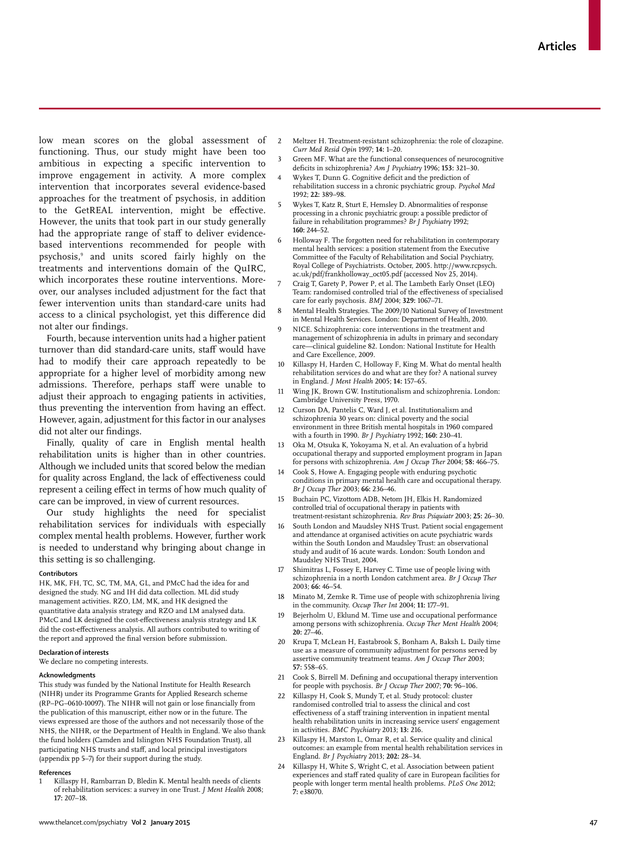low mean scores on the global assessment of functioning. Thus, our study might have been too ambitious in expecting a specific intervention to improve engagement in activity. A more complex intervention that incorporates several evidence-based approaches for the treatment of psychosis, in addition to the GetREAL intervention, might be effective. However, the units that took part in our study generally had the appropriate range of staff to deliver evidencebased interventions recommended for people with psychosis,9 and units scored fairly highly on the treatments and interventions domain of the QuIRC, which incorporates these routine interventions. Moreover, our analyses included adjustment for the fact that fewer intervention units than standard-care units had access to a clinical psychologist, yet this difference did not alter our findings.

Fourth, because intervention units had a higher patient turnover than did standard-care units, staff would have had to modify their care approach repeatedly to be appropriate for a higher level of morbidity among new admissions. Therefore, perhaps staff were unable to adjust their approach to engaging patients in activities, thus preventing the intervention from having an effect. However, again, adjustment for this factor in our analyses did not alter our findings.

Finally, quality of care in English mental health rehabilitation units is higher than in other countries. Although we included units that scored below the median for quality across England, the lack of effectiveness could represent a ceiling effect in terms of how much quality of care can be improved, in view of current resources.

Our study highlights the need for specialist rehabilitation services for individuals with especially complex mental health problems. However, further work is needed to understand why bringing about change in this setting is so challenging.

#### **Contributors**

HK, MK, FH, TC, SC, TM, MA, GL, and PMcC had the idea for and designed the study. NG and IH did data collection. ML did study management activities. RZO, LM, MK, and HK designed the quantitative data analysis strategy and RZO and LM analysed data. PMcC and LK designed the cost-effectiveness analysis strategy and LK did the cost-effectiveness analysis. All authors contributed to writing of the report and approved the final version before submission.

#### **Declaration of interests**

We declare no competing interests.

#### **Acknowledgments**

This study was funded by the National Institute for Health Research (NIHR) under its Programme Grants for Applied Research scheme  $(RP-PG-0610-10097)$ . The NIHR will not gain or lose financially from the publication of this manuscript, either now or in the future. The views expressed are those of the authors and not necessarily those of the NHS, the NIHR, or the Department of Health in England. We also thank the fund holders (Camden and Islington NHS Foundation Trust), all participating NHS trusts and staff, and local principal investigators (appendix pp 5–7) for their support during the study.

#### **References**

Killaspy H, Rambarran D, Bledin K. Mental health needs of clients of rehabilitation services: a survey in one Trust. *J Ment Health* 2008; **17:** 207–18.

- 2 Meltzer H. Treatment-resistant schizophrenia: the role of clozapine. *Curr Med Resid Opin* 1997; **14:** 1–20.
- Green MF. What are the functional consequences of neurocognitive deficits in schizophrenia? *Am J Psychiatry* 1996; 153: 321-30.
- Wykes T, Dunn G. Cognitive deficit and the prediction of rehabilitation success in a chronic psychiatric group. *Psychol Med* 1992; **22:** 389–98.
- 5 Wykes T, Katz R, Sturt E, Hemsley D. Abnormalities of response processing in a chronic psychiatric group: a possible predictor of failure in rehabilitation programmes? *Br J Psychiatry* 1992; **160:** 244–52.
- Holloway F. The forgotten need for rehabilitation in contemporary mental health services: a position statement from the Executive Committee of the Faculty of Rehabilitation and Social Psychiatry, Royal College of Psychiatrists. October, 2005. http://www.rcpsych. ac.uk/pdf/frankholloway\_oct05.pdf (accessed Nov 25, 2014).
- 7 Craig T, Garety P, Power P, et al. The Lambeth Early Onset (LEO) Team: randomised controlled trial of the effectiveness of specialised care for early psychosis. *BMJ* 2004; **329:** 1067–71.
- 8 Mental Health Strategies. The 2009/10 National Survey of Investment in Mental Health Services. London: Department of Health, 2010.
- NICE. Schizophrenia: core interventions in the treatment and management of schizophrenia in adults in primary and secondary care—clinical guideline 82. London: National Institute for Health and Care Excellence, 2009.
- 10 Killaspy H, Harden C, Holloway F, King M. What do mental health rehabilitation services do and what are they for? A national survey in England. *J Ment Health* 2005; **14:** 157–65.
- 11 Wing JK, Brown GW. Institutionalism and schizophrenia. London: Cambridge University Press, 1970.
- 12 Curson DA, Pantelis C, Ward J, et al. Institutionalism and schizophrenia 30 years on: clinical poverty and the social environment in three British mental hospitals in 1960 compared with a fourth in 1990. *Br J Psychiatry* 1992; **160:** 230–41.
- 13 Oka M, Otsuka K, Yokoyama N, et al. An evaluation of a hybrid occupational therapy and supported employment program in Japan for persons with schizophrenia. *Am J Occup Ther* 2004; **58:** 466–75.
- Cook S, Howe A. Engaging people with enduring psychotic conditions in primary mental health care and occupational therapy. *Br J Occup Ther* 2003; **66:** 236–46.
- 15 Buchain PC, Vizottom ADB, Netom JH, Elkis H. Randomized controlled trial of occupational therapy in patients with treatment-resistant schizophrenia. *Rev Bras Psiquiatr* 2003; **25:** 26–30.
- 16 South London and Maudsley NHS Trust. Patient social engagement and attendance at organised activities on acute psychiatric wards within the South London and Maudsley Trust: an observational study and audit of 16 acute wards. London: South London and Maudsley NHS Trust, 2004.
- Shimitras L, Fossey E, Harvey C. Time use of people living with schizophrenia in a north London catchment area. *Br J Occup Ther* 2003; **66:** 46–54.
- 18 Minato M, Zemke R. Time use of people with schizophrenia living in the community. *Occup Ther Int* 2004; **11:** 177–91.
- Bejerholm U, Eklund M. Time use and occupational performance among persons with schizophrenia. *Occup Ther Ment Health* 2004; **20:** 27–46.
- 20 Krupa T, McLean H, Eastabrook S, Bonham A, Baksh L. Daily time use as a measure of community adjustment for persons served by assertive community treatment teams. *Am J Occup Ther* 2003; **57:** 558–65.
- 21 Cook S, Birrell M. Defining and occupational therapy intervention for people with psychosis. *Br J Occup Ther 2007*; **70:** 96–106.
- 22 Killaspy H, Cook S, Mundy T, et al. Study protocol: cluster randomised controlled trial to assess the clinical and cost effectiveness of a staff training intervention in inpatient mental health rehabilitation units in increasing service users' engagement in activities. *BMC Psychiatry* 2013; **13:** 216.
- Killaspy H, Marston L, Omar R, et al. Service quality and clinical outcomes: an example from mental health rehabilitation services in England. *Br J Psychiatry* 2013; **202:** 28–34.
- 24 Killaspy H, White S, Wright C, et al. Association between patient experiences and staff rated quality of care in European facilities for people with longer term mental health problems. *PLoS One* 2012; **7:** e38070.